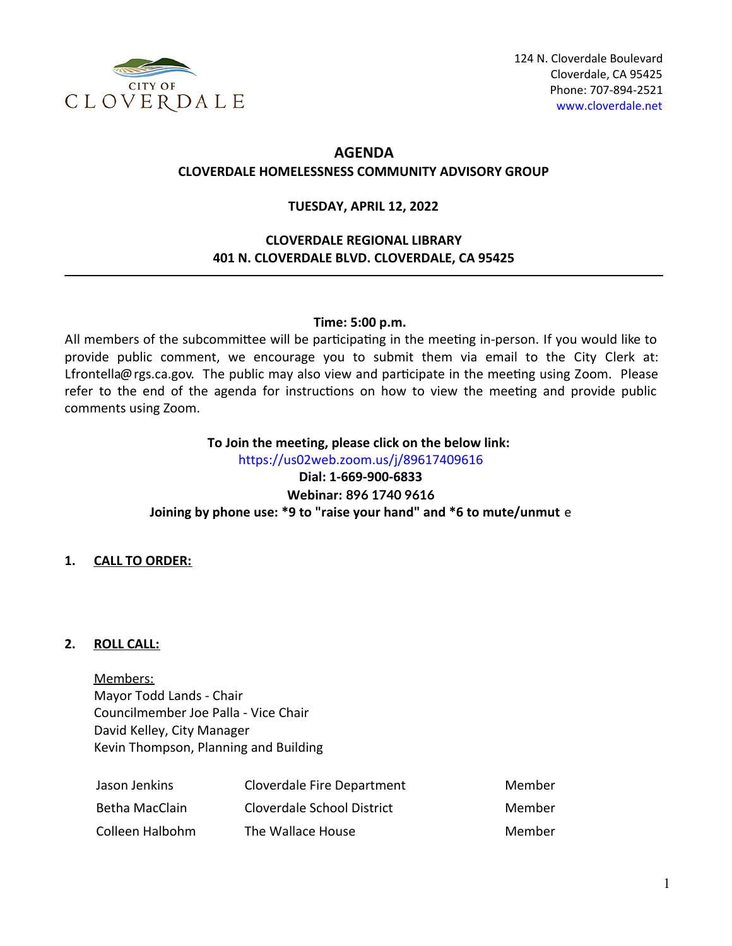

# **AGENDA CLOVERDALE HOMELESSNESS COMMUNITY ADVISORY GROUP**

## **TUESDAY, APRIL 12, 2022**

## **CLOVERDALE REGIONAL LIBRARY 401 N. CLOVERDALE BLVD. CLOVERDALE, CA 95425**

## **Time: 5:00 p.m.**

All members of the subcommittee will be participating in the meeting in-person. If you would like to provide public comment, we encourage you to submit them via email to the City Clerk at: Lfrontella@rgs.ca.gov. The public may also view and participate in the meeting using Zoom. Please refer to the end of the agenda for instructions on how to view the meeting and provide public comments using Zoom.

## **To Join the meeting, please click on the below link:**

<https://us02web.zoom.us/j/89617409616> **Dial: 1-669-900-6833 Webinar: 896 1740 9616 Joining by phone use: \*9 to "raise your hand" and \*6 to mute/unmut** e

## **1. CALL TO ORDER:**

## **2. ROLL CALL:**

Members: Mayor Todd Lands - Chair Councilmember Joe Palla - Vice Chair David Kelley, City Manager Kevin Thompson, Planning and Building

| Jason Jenkins   | <b>Cloverdale Fire Department</b> | Member |
|-----------------|-----------------------------------|--------|
| Betha MacClain  | Cloverdale School District        | Member |
| Colleen Halbohm | The Wallace House                 | Member |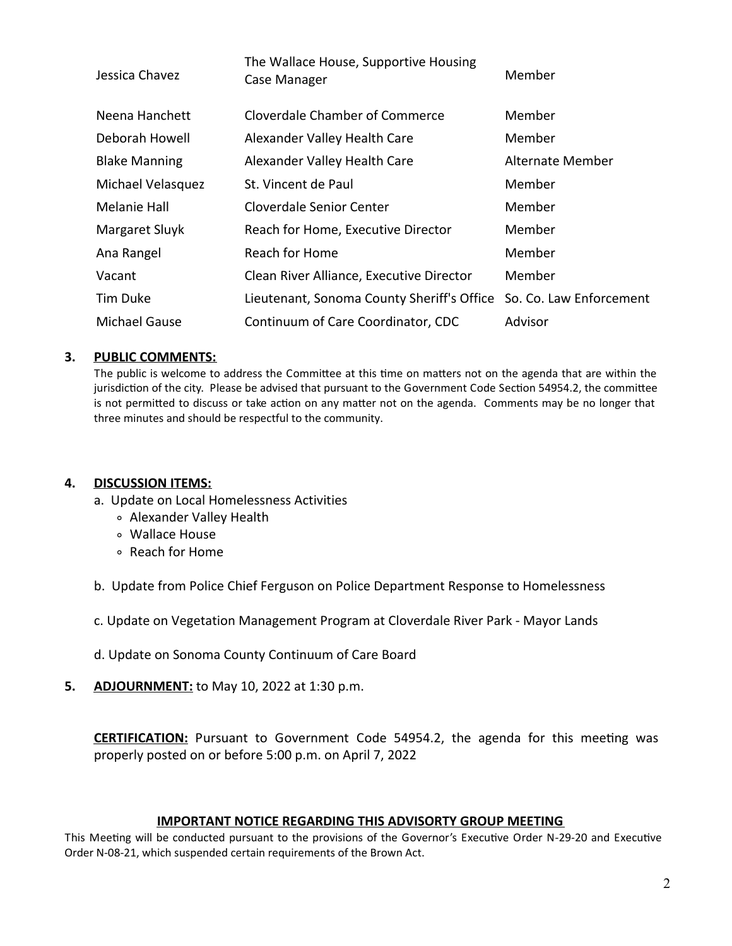| Jessica Chavez       | The Wallace House, Supportive Housing<br>Case Manager | Member                  |
|----------------------|-------------------------------------------------------|-------------------------|
| Neena Hanchett       | Cloverdale Chamber of Commerce                        | Member                  |
| Deborah Howell       | Alexander Valley Health Care                          | Member                  |
| <b>Blake Manning</b> | Alexander Valley Health Care                          | <b>Alternate Member</b> |
| Michael Velasquez    | St. Vincent de Paul                                   | Member                  |
| Melanie Hall         | Cloverdale Senior Center                              | Member                  |
| Margaret Sluyk       | Reach for Home, Executive Director                    | Member                  |
| Ana Rangel           | Reach for Home                                        | Member                  |
| Vacant               | Clean River Alliance, Executive Director              | Member                  |
| Tim Duke             | Lieutenant, Sonoma County Sheriff's Office            | So. Co. Law Enforcement |
| Michael Gause        | Continuum of Care Coordinator, CDC                    | Advisor                 |

### **3. PUBLIC COMMENTS:**

The public is welcome to address the Committee at this time on matters not on the agenda that are within the jurisdiction of the city. Please be advised that pursuant to the Government Code Section 54954.2, the committee is not permitted to discuss or take action on any matter not on the agenda. Comments may be no longer that three minutes and should be respectful to the community.

### **4. DISCUSSION ITEMS:**

- a. Update on Local Homelessness Activities
	- Alexander Valley Health
	- Wallace House
	- Reach for Home

b. Update from Police Chief Ferguson on Police Department Response to Homelessness

c. Update on Vegetation Management Program at Cloverdale River Park - Mayor Lands

- d. Update on Sonoma County Continuum of Care Board
- **5. ADJOURNMENT:** to May 10, 2022 at 1:30 p.m.

**CERTIFICATION:** Pursuant to Government Code 54954.2, the agenda for this meeting was properly posted on or before 5:00 p.m. on April 7, 2022

### **IMPORTANT NOTICE REGARDING THIS ADVISORTY GROUP MEETING**

This Meeting will be conducted pursuant to the provisions of the Governor's Executive Order N-29-20 and Executive Order N-08-21, which suspended certain requirements of the Brown Act.